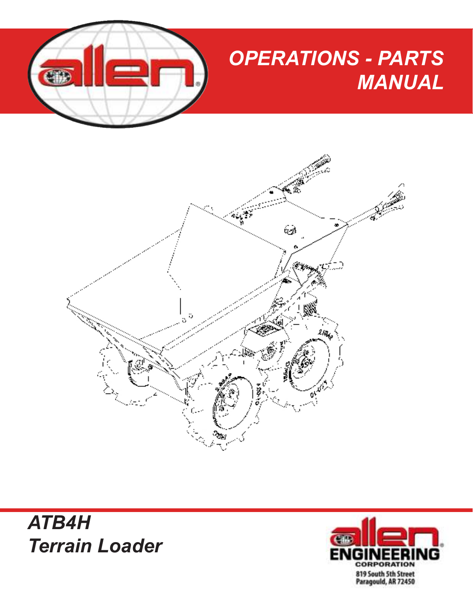

## *OPERATIONS - PARTS MANUAL*





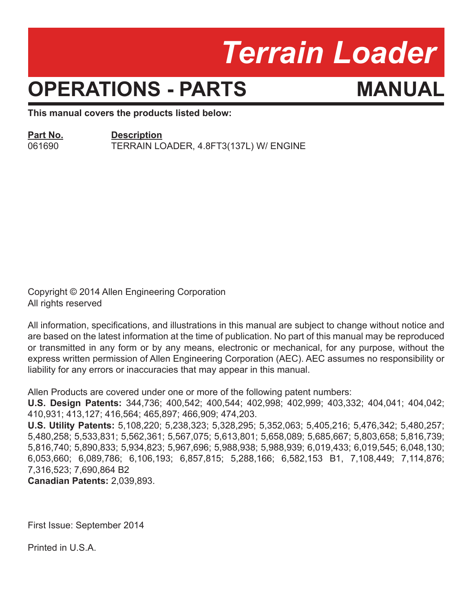## *Terrain Loader*

## **OPERATIONS - PARTS MANUAL**

**This manual covers the products listed below:**

#### **Part No. Description**

061690 TERRAIN LOADER, 4.8FT3(137L) W/ ENGINE

Copyright © 2014 Allen Engineering Corporation All rights reserved

All information, specifications, and illustrations in this manual are subject to change without notice and are based on the latest information at the time of publication. No part of this manual may be reproduced or transmitted in any form or by any means, electronic or mechanical, for any purpose, without the express written permission of Allen Engineering Corporation (AEC). AEC assumes no responsibility or liability for any errors or inaccuracies that may appear in this manual.

Allen Products are covered under one or more of the following patent numbers:

**U.S. Design Patents:** 344,736; 400,542; 400,544; 402,998; 402,999; 403,332; 404,041; 404,042; 410,931; 413,127; 416,564; 465,897; 466,909; 474,203.

**U.S. Utility Patents:** 5,108,220; 5,238,323; 5,328,295; 5,352,063; 5,405,216; 5,476,342; 5,480,257; 5,480,258; 5,533,831; 5,562,361; 5,567,075; 5,613,801; 5,658,089; 5,685,667; 5,803,658; 5,816,739; 5,816,740; 5,890,833; 5,934,823; 5,967,696; 5,988,938; 5,988,939; 6,019,433; 6,019,545; 6,048,130; 6,053,660; 6,089,786; 6,106,193; 6,857,815; 5,288,166; 6,582,153 B1, 7,108,449; 7,114,876; 7,316,523; 7,690,864 B2

**Canadian Patents:** 2,039,893.

First Issue: September 2014

Printed in U.S.A.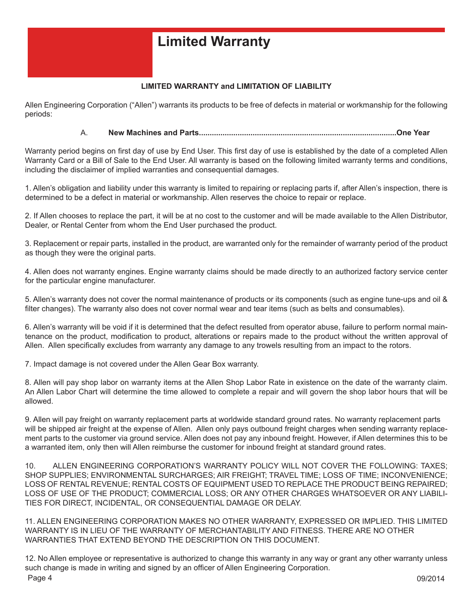### **Limited Warranty**

#### **LIMITED WARRANTY and LIMITATION OF LIABILITY**

Allen Engineering Corporation ("Allen") warrants its products to be free of defects in material or workmanship for the following periods:

#### A. **New Machines and Parts............................................................................................One Year**

Warranty period begins on first day of use by End User. This first day of use is established by the date of a completed Allen Warranty Card or a Bill of Sale to the End User. All warranty is based on the following limited warranty terms and conditions, including the disclaimer of implied warranties and consequential damages.

1. Allen's obligation and liability under this warranty is limited to repairing or replacing parts if, after Allen's inspection, there is determined to be a defect in material or workmanship. Allen reserves the choice to repair or replace.

2. If Allen chooses to replace the part, it will be at no cost to the customer and will be made available to the Allen Distributor, Dealer, or Rental Center from whom the End User purchased the product.

3. Replacement or repair parts, installed in the product, are warranted only for the remainder of warranty period of the product as though they were the original parts.

4. Allen does not warranty engines. Engine warranty claims should be made directly to an authorized factory service center for the particular engine manufacturer.

5. Allen's warranty does not cover the normal maintenance of products or its components (such as engine tune-ups and oil & filter changes). The warranty also does not cover normal wear and tear items (such as belts and consumables).

6. Allen's warranty will be void if it is determined that the defect resulted from operator abuse, failure to perform normal maintenance on the product, modification to product, alterations or repairs made to the product without the written approval of Allen. Allen specifically excludes from warranty any damage to any trowels resulting from an impact to the rotors.

7. Impact damage is not covered under the Allen Gear Box warranty.

8. Allen will pay shop labor on warranty items at the Allen Shop Labor Rate in existence on the date of the warranty claim. An Allen Labor Chart will determine the time allowed to complete a repair and will govern the shop labor hours that will be allowed.

9. Allen will pay freight on warranty replacement parts at worldwide standard ground rates. No warranty replacement parts will be shipped air freight at the expense of Allen. Allen only pays outbound freight charges when sending warranty replacement parts to the customer via ground service. Allen does not pay any inbound freight. However, if Allen determines this to be a warranted item, only then will Allen reimburse the customer for inbound freight at standard ground rates.

10. ALLEN ENGINEERING CORPORATION'S WARRANTY POLICY WILL NOT COVER THE FOLLOWING: TAXES; SHOP SUPPLIES; ENVIRONMENTAL SURCHARGES; AIR FREIGHT; TRAVEL TIME; LOSS OF TIME; INCONVENIENCE; LOSS OF RENTAL REVENUE; RENTAL COSTS OF EQUIPMENT USED TO REPLACE THE PRODUCT BEING REPAIRED; LOSS OF USE OF THE PRODUCT; COMMERCIAL LOSS; OR ANY OTHER CHARGES WHATSOEVER OR ANY LIABILI-TIES FOR DIRECT, INCIDENTAL, OR CONSEQUENTIAL DAMAGE OR DELAY.

11. ALLEN ENGINEERING CORPORATION MAKES NO OTHER WARRANTY, EXPRESSED OR IMPLIED. THIS LIMITED WARRANTY IS IN LIEU OF THE WARRANTY OF MERCHANTABILITY AND FITNESS. THERE ARE NO OTHER WARRANTIES THAT EXTEND BEYOND THE DESCRIPTION ON THIS DOCUMENT.

Page 4 09/2014 12. No Allen employee or representative is authorized to change this warranty in any way or grant any other warranty unless such change is made in writing and signed by an officer of Allen Engineering Corporation.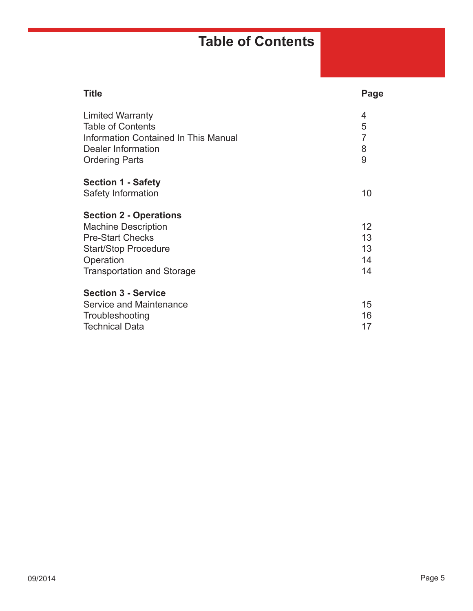### **Table of Contents**

| <b>Title</b>                                | Page                                                      |
|---------------------------------------------|-----------------------------------------------------------|
| <b>Limited Warranty</b>                     | 4                                                         |
| <b>Table of Contents</b>                    | 5                                                         |
| <b>Information Contained In This Manual</b> | $\overline{7}$                                            |
| Dealer Information                          | 8                                                         |
| <b>Ordering Parts</b>                       | 9                                                         |
|                                             |                                                           |
| Safety Information                          | 10                                                        |
| <b>Section 2 - Operations</b>               |                                                           |
| <b>Machine Description</b>                  | 12                                                        |
| <b>Pre-Start Checks</b>                     | 13                                                        |
| <b>Start/Stop Procedure</b>                 | 13                                                        |
|                                             | 14                                                        |
| <b>Transportation and Storage</b>           | 14                                                        |
| <b>Section 3 - Service</b>                  |                                                           |
| Service and Maintenance                     | 15                                                        |
|                                             | 16                                                        |
| <b>Technical Data</b>                       | 17                                                        |
|                                             | <b>Section 1 - Safety</b><br>Operation<br>Troubleshooting |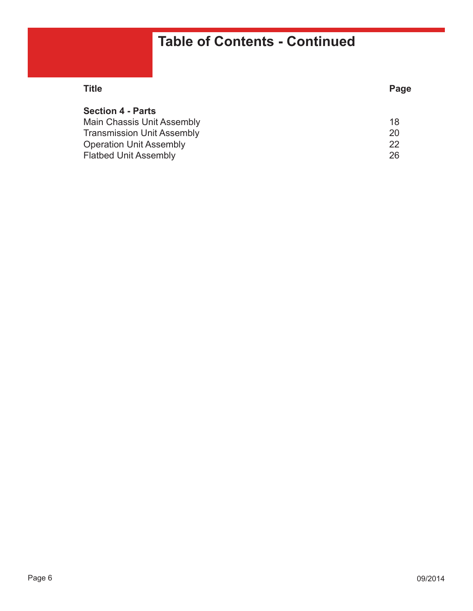### **Table of Contents - Continued**

| Title                             | Page |
|-----------------------------------|------|
| <b>Section 4 - Parts</b>          |      |
| <b>Main Chassis Unit Assembly</b> | 18   |
| <b>Transmission Unit Assembly</b> | 20   |
| <b>Operation Unit Assembly</b>    | 22   |
| <b>Flatbed Unit Assembly</b>      | 26   |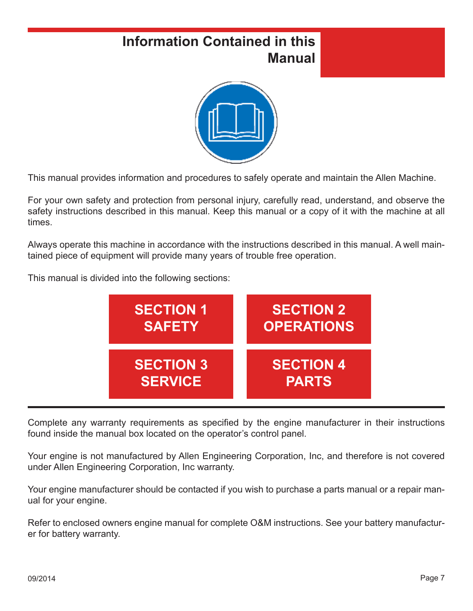### **Information Contained in this Manual**



This manual provides information and procedures to safely operate and maintain the Allen Machine.

For your own safety and protection from personal injury, carefully read, understand, and observe the safety instructions described in this manual. Keep this manual or a copy of it with the machine at all times.

Always operate this machine in accordance with the instructions described in this manual. A well maintained piece of equipment will provide many years of trouble free operation.

This manual is divided into the following sections:



Complete any warranty requirements as specified by the engine manufacturer in their instructions found inside the manual box located on the operator's control panel.

Your engine is not manufactured by Allen Engineering Corporation, Inc, and therefore is not covered under Allen Engineering Corporation, Inc warranty.

Your engine manufacturer should be contacted if you wish to purchase a parts manual or a repair manual for your engine.

Refer to enclosed owners engine manual for complete O&M instructions. See your battery manufacturer for battery warranty.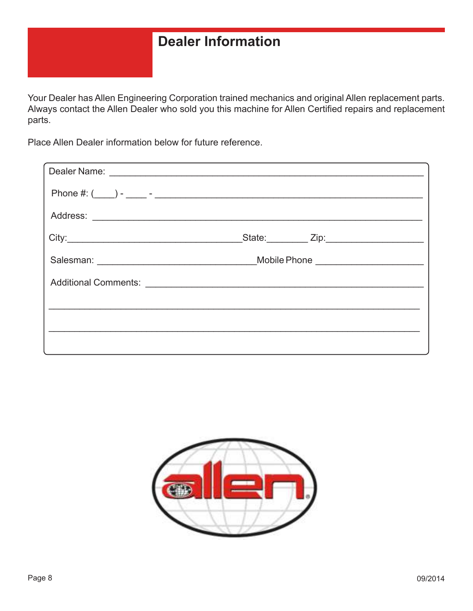### **Dealer Information**

Your Dealer has Allen Engineering Corporation trained mechanics and original Allen replacement parts. Always contact the Allen Dealer who sold you this machine for Allen Certified repairs and replacement parts.

Place Allen Dealer information below for future reference.

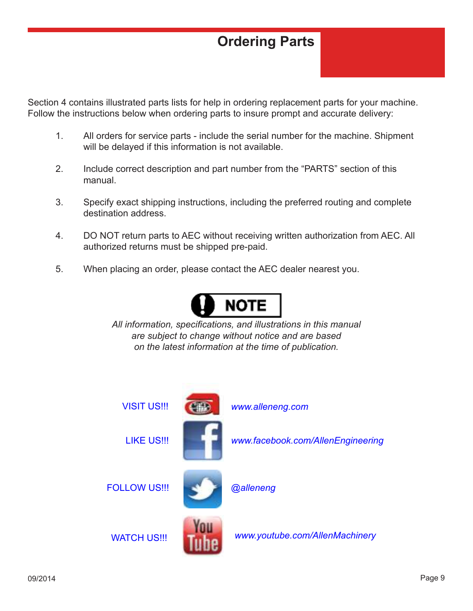### **Ordering Parts**

Section 4 contains illustrated parts lists for help in ordering replacement parts for your machine. Follow the instructions below when ordering parts to insure prompt and accurate delivery:

- 1. All orders for service parts include the serial number for the machine. Shipment will be delayed if this information is not available.
- 2. Include correct description and part number from the "PARTS" section of this manual.
- 3. Specify exact shipping instructions, including the preferred routing and complete destination address.
- 4. DO NOT return parts to AEC without receiving written authorization from AEC. All authorized returns must be shipped pre-paid.
- 5. When placing an order, please contact the AEC dealer nearest you.



*All information, specifi cations, and illustrations in this manual are subject to change without notice and are based on the latest information at the time of publication.*

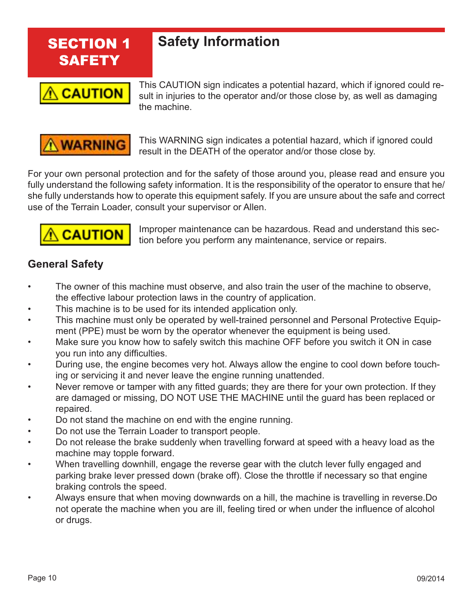

#### **Safety Information**



This CAUTION sign indicates a potential hazard, which if ignored could re-<br> **CAUTION** sult in injuries to the operator and/or those close by, as well as damaging sult in injuries to the operator and/or those close by, as well as damaging the machine.



**WARNING** This WARNING sign indicates a potential hazard, which if ignored could result in the DEATH of the operator and/or those close by.

For your own personal protection and for the safety of those around you, please read and ensure you fully understand the following safety information. It is the responsibility of the operator to ensure that he/ she fully understands how to operate this equipment safely. If you are unsure about the safe and correct use of the Terrain Loader, consult your supervisor or Allen.



 $\overline{CAUTION}$  Improper maintenance can be hazardous. Read and understand this sec-<br> $\overline{CAUTION}$  tion before you perform any maintenance, service or repairs tion before you perform any maintenance, service or repairs.

#### **General Safety**

- The owner of this machine must observe, and also train the user of the machine to observe, the effective labour protection laws in the country of application.
- This machine is to be used for its intended application only.
- This machine must only be operated by well-trained personnel and Personal Protective Equipment (PPE) must be worn by the operator whenever the equipment is being used.
- Make sure you know how to safely switch this machine OFF before you switch it ON in case you run into any difficulties.
- During use, the engine becomes very hot. Always allow the engine to cool down before touching or servicing it and never leave the engine running unattended.
- Never remove or tamper with any fitted guards; they are there for your own protection. If they are damaged or missing, DO NOT USE THE MACHINE until the guard has been replaced or repaired.
- Do not stand the machine on end with the engine running.
- Do not use the Terrain Loader to transport people.
- Do not release the brake suddenly when travelling forward at speed with a heavy load as the machine may topple forward.
- When travelling downhill, engage the reverse gear with the clutch lever fully engaged and parking brake lever pressed down (brake off). Close the throttle if necessary so that engine braking controls the speed.
- Always ensure that when moving downwards on a hill, the machine is travelling in reverse.Do not operate the machine when you are ill, feeling tired or when under the influence of alcohol or drugs.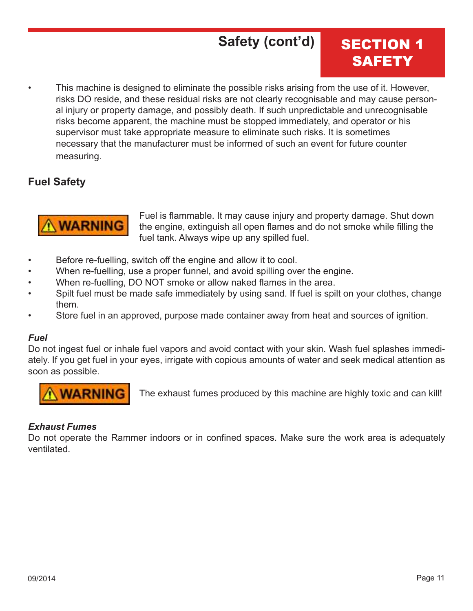### **Safety (cont'd)**

### SECTION 1 **SAFETY**

This machine is designed to eliminate the possible risks arising from the use of it. However, risks DO reside, and these residual risks are not clearly recognisable and may cause person al injury or property damage, and possibly death. If such unpredictable and unrecognisable risks become apparent, the machine must be stopped immediately, and operator or his supervisor must take appropriate measure to eliminate such risks. It is sometimes necessary that the manufacturer must be informed of such an event for future counter measuring.

#### **Fuel Safety**



**WARNING** Fuel is flammable. It may cause injury and property damage. Shut down<br>**WARNING** the engine, extinguish all open flames and do not smoke while filling the the engine, extinguish all open flames and do not smoke while filling the fuel tank. Always wipe up any spilled fuel.

- Before re-fuelling, switch off the engine and allow it to cool.
- When re-fuelling, use a proper funnel, and avoid spilling over the engine.
- When re-fuelling, DO NOT smoke or allow naked flames in the area.
- Spilt fuel must be made safe immediately by using sand. If fuel is spilt on your clothes, change them.
- Store fuel in an approved, purpose made container away from heat and sources of ignition.

#### *Fuel*

Do not ingest fuel or inhale fuel vapors and avoid contact with your skin. Wash fuel splashes immediately. If you get fuel in your eyes, irrigate with copious amounts of water and seek medical attention as soon as possible.



**WARNING** The exhaust fumes produced by this machine are highly toxic and can kill!

#### *Exhaust Fumes*

Do not operate the Rammer indoors or in confined spaces. Make sure the work area is adequately ventilated.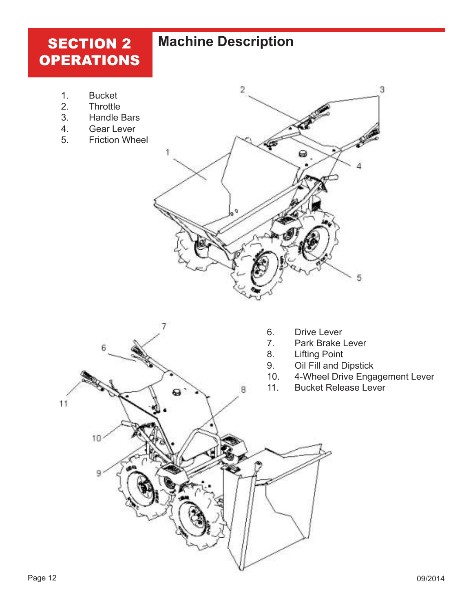### **SECTION 2 OPERATIONS**

### **Machine Description**

- 1. Bucket
- 2. Throttle
- 3. Handle Bars
- 4. Gear Lever
- 5. Friction Wheel



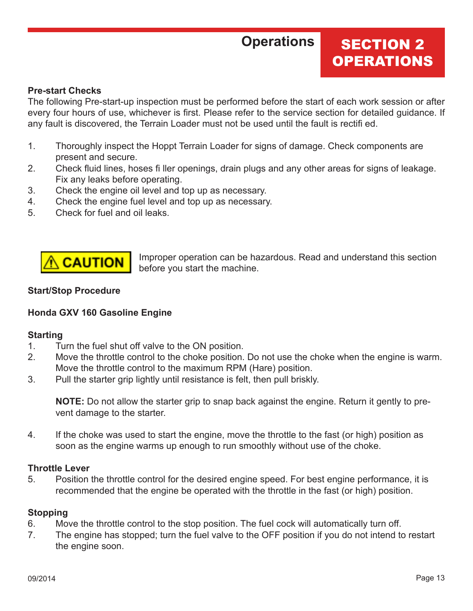### **Operations**

#### **SECTION 2 OPERATIONS**

#### **Pre-start Checks**

The following Pre-start-up inspection must be performed before the start of each work session or after every four hours of use, whichever is first. Please refer to the service section for detailed guidance. If any fault is discovered, the Terrain Loader must not be used until the fault is rectifi ed.

- 1. Thoroughly inspect the Hoppt Terrain Loader for signs of damage. Check components are present and secure.
- 2. Check fluid lines, hoses filler openings, drain plugs and any other areas for signs of leakage. Fix any leaks before operating.
- 3. Check the engine oil level and top up as necessary.
- 4. Check the engine fuel level and top up as necessary.
- 5. Check for fuel and oil leaks.



**CAUTION** Improper operation can be hazardous. Read and understand this section before you start the machine.

#### **Start/Stop Procedure**

#### **Honda GXV 160 Gasoline Engine**

#### **Starting**

- 1. Turn the fuel shut off valve to the ON position.
- 2. Move the throttle control to the choke position. Do not use the choke when the engine is warm. Move the throttle control to the maximum RPM (Hare) position.
- 3. Pull the starter grip lightly until resistance is felt, then pull briskly.

**NOTE:** Do not allow the starter grip to snap back against the engine. Return it gently to pre vent damage to the starter.

4. If the choke was used to start the engine, move the throttle to the fast (or high) position as soon as the engine warms up enough to run smoothly without use of the choke.

#### **Throttle Lever**

5. Position the throttle control for the desired engine speed. For best engine performance, it is recommended that the engine be operated with the throttle in the fast (or high) position.

#### **Stopping**

- 6. Move the throttle control to the stop position. The fuel cock will automatically turn off.
- 7. The engine has stopped; turn the fuel valve to the OFF position if you do not intend to restart the engine soon.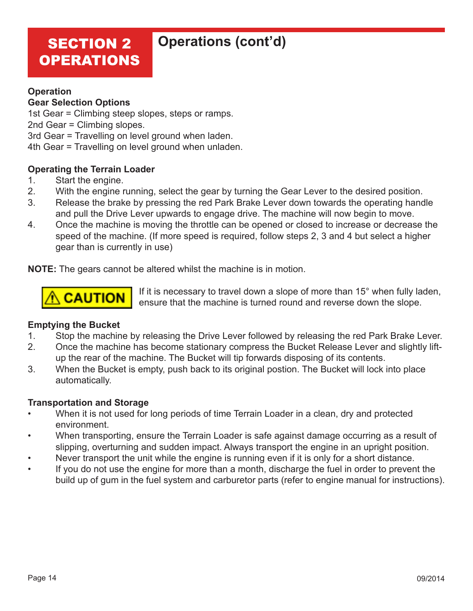### SECTION 2 OPERATIONS

#### **Operations (cont'd)**

#### **Operation**

#### **Gear Selection Options**

1st Gear = Climbing steep slopes, steps or ramps.

2nd Gear = Climbing slopes.

3rd Gear = Travelling on level ground when laden.

4th Gear = Travelling on level ground when unladen.

#### **Operating the Terrain Loader**

- 1. Start the engine.
- 2. With the engine running, select the gear by turning the Gear Lever to the desired position.
- 3. Release the brake by pressing the red Park Brake Lever down towards the operating handle and pull the Drive Lever upwards to engage drive. The machine will now begin to move.
- 4. Once the machine is moving the throttle can be opened or closed to increase or decrease the speed of the machine. (If more speed is required, follow steps 2, 3 and 4 but select a higher gear than is currently in use)

**NOTE:** The gears cannot be altered whilst the machine is in motion.



 $\overline{CAUTION}$  If it is necessary to travel down a slope of more than 15° when fully laden, ensure that the machine is turned round and reverse down the slope.

#### **Emptying the Bucket**

- 1. Stop the machine by releasing the Drive Lever followed by releasing the red Park Brake Lever.
- 2. Once the machine has become stationary compress the Bucket Release Lever and slightly lift up the rear of the machine. The Bucket will tip forwards disposing of its contents.
- 3. When the Bucket is empty, push back to its original postion. The Bucket will lock into place automatically.

#### **Transportation and Storage**

- When it is not used for long periods of time Terrain Loader in a clean, dry and protected environment.
- When transporting, ensure the Terrain Loader is safe against damage occurring as a result of slipping, overturning and sudden impact. Always transport the engine in an upright position.
- Never transport the unit while the engine is running even if it is only for a short distance.
- If you do not use the engine for more than a month, discharge the fuel in order to prevent the build up of gum in the fuel system and carburetor parts (refer to engine manual for instructions).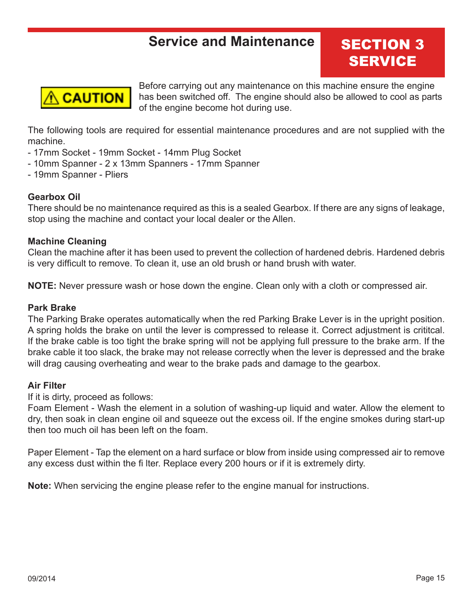### **Service and Maintenance SECTION 3**

# **SERVICE**



Before carrying out any maintenance on this machine ensure the engine<br>**CAUTION** has been switched off. The engine should also be allowed to cool as part has been switched off. The engine should also be allowed to cool as parts of the engine become hot during use.

The following tools are required for essential maintenance procedures and are not supplied with the machine.

- 17mm Socket 19mm Socket 14mm Plug Socket
- 10mm Spanner 2 x 13mm Spanners 17mm Spanner
- 19mm Spanner Pliers

#### **Gearbox Oil**

There should be no maintenance required as this is a sealed Gearbox. If there are any signs of leakage, stop using the machine and contact your local dealer or the Allen.

#### **Machine Cleaning**

Clean the machine after it has been used to prevent the collection of hardened debris. Hardened debris is very difficult to remove. To clean it, use an old brush or hand brush with water.

**NOTE:** Never pressure wash or hose down the engine. Clean only with a cloth or compressed air.

#### **Park Brake**

The Parking Brake operates automatically when the red Parking Brake Lever is in the upright position. A spring holds the brake on until the lever is compressed to release it. Correct adjustment is crititcal. If the brake cable is too tight the brake spring will not be applying full pressure to the brake arm. If the brake cable it too slack, the brake may not release correctly when the lever is depressed and the brake will drag causing overheating and wear to the brake pads and damage to the gearbox.

#### **Air Filter**

If it is dirty, proceed as follows:

Foam Element - Wash the element in a solution of washing-up liquid and water. Allow the element to dry, then soak in clean engine oil and squeeze out the excess oil. If the engine smokes during start-up then too much oil has been left on the foam.

Paper Element - Tap the element on a hard surface or blow from inside using compressed air to remove any excess dust within the fi lter. Replace every 200 hours or if it is extremely dirty.

**Note:** When servicing the engine please refer to the engine manual for instructions.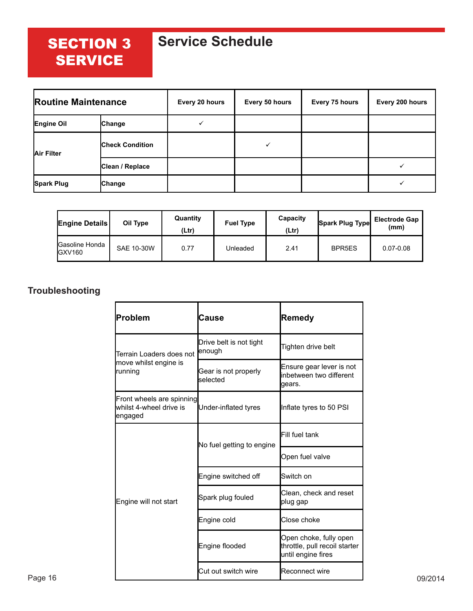### SECTION 3 **SERVICE**

### **Service Schedule**

| <b>Routine Maintenance</b> |                        | Every 20 hours | Every 50 hours | Every 75 hours | Every 200 hours |
|----------------------------|------------------------|----------------|----------------|----------------|-----------------|
| Engine Oil                 | Change                 |                |                |                |                 |
| Air Filter                 | <b>Check Condition</b> |                |                |                |                 |
|                            | Clean / Replace        |                |                |                |                 |
| <b>Spark Plug</b>          | <b>Change</b>          |                |                |                |                 |

| <b>Engine Details</b>                       | Oil Type   | Quantity<br>(Ltr) | <b>Fuel Type</b> | Capacity<br>(Ltr) | Spark Plug Type    | <b>Electrode Gap</b><br>(mm) |
|---------------------------------------------|------------|-------------------|------------------|-------------------|--------------------|------------------------------|
| <b>Gasoline Honda</b><br>GXV <sub>160</sub> | SAE 10-30W | 0.77              | Unleaded         | 2.41              | BPR <sub>5ES</sub> | $0.07 - 0.08$                |

#### **Troubleshooting**

| Problem                                                          | Cause                             | <b>Remedy</b>                                                                 |
|------------------------------------------------------------------|-----------------------------------|-------------------------------------------------------------------------------|
| Terrain Loaders does not<br>move whilst engine is<br>running     | Drive belt is not tight<br>enough | Tighten drive belt                                                            |
|                                                                  | Gear is not properly<br>selected  | Ensure gear lever is not<br>inbetween two different<br>gears.                 |
| Front wheels are spinning<br>lwhilst 4-wheel drive is<br>engaged | Under-inflated tyres              | Inflate tyres to 50 PSI                                                       |
|                                                                  |                                   | Fill fuel tank                                                                |
|                                                                  | No fuel getting to engine         | Open fuel valve                                                               |
|                                                                  | Engine switched off               | Switch on                                                                     |
| Engine will not start                                            | Spark plug fouled                 | Clean, check and reset<br>plug gap                                            |
|                                                                  | Engine cold                       | Close choke                                                                   |
|                                                                  | Engine flooded                    | Open choke, fully open<br>throttle, pull recoil starter<br>until engine fires |
|                                                                  | Cut out switch wire               | Reconnect wire                                                                |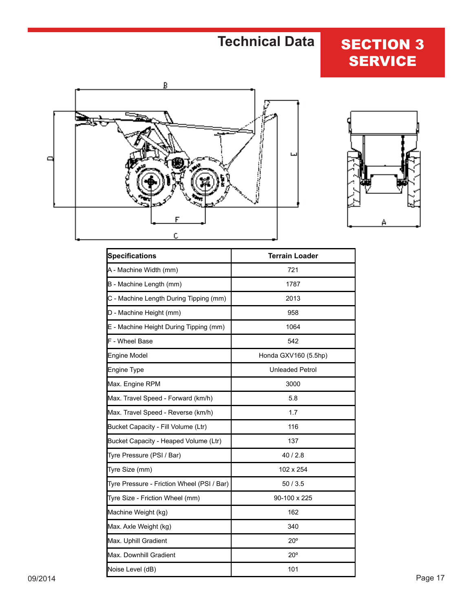### **Technical Data**

### **SECTION 3 SERVICE**





| <b>Specifications</b>                      | <b>Terrain Loader</b>  |
|--------------------------------------------|------------------------|
| A - Machine Width (mm)                     | 721                    |
| B - Machine Length (mm)                    | 1787                   |
| C - Machine Length During Tipping (mm)     | 2013                   |
| D - Machine Height (mm)                    | 958                    |
| E - Machine Height During Tipping (mm)     | 1064                   |
| F - Wheel Base                             | 542                    |
| Engine Model                               | Honda GXV160 (5.5hp)   |
| Engine Type                                | <b>Unleaded Petrol</b> |
| Max. Engine RPM                            | 3000                   |
| Max. Travel Speed - Forward (km/h)         | 5.8                    |
| Max. Travel Speed - Reverse (km/h)         | 1.7                    |
| Bucket Capacity - Fill Volume (Ltr)        | 116                    |
| Bucket Capacity - Heaped Volume (Ltr)      | 137                    |
| Tyre Pressure (PSI / Bar)                  | 40 / 2.8               |
| Tyre Size (mm)                             | 102 x 254              |
| Tyre Pressure - Friction Wheel (PSI / Bar) | 50/3.5                 |
| Tyre Size - Friction Wheel (mm)            | 90-100 x 225           |
| Machine Weight (kg)                        | 162                    |
| Max. Axle Weight (kg)                      | 340                    |
| Max. Uphill Gradient                       | $20^{\circ}$           |
| Max. Downhill Gradient                     | $20^{\circ}$           |
| Noise Level (dB)                           | 101                    |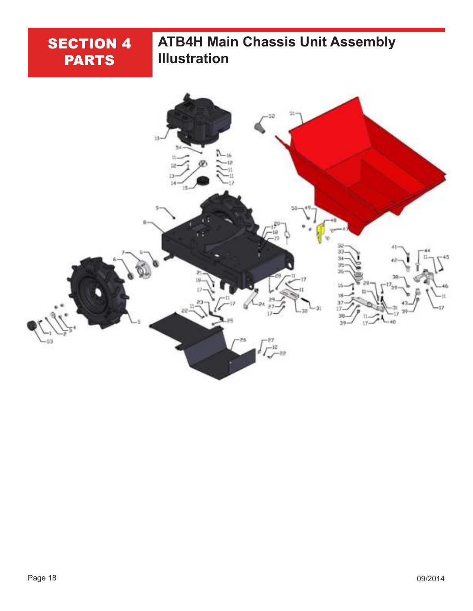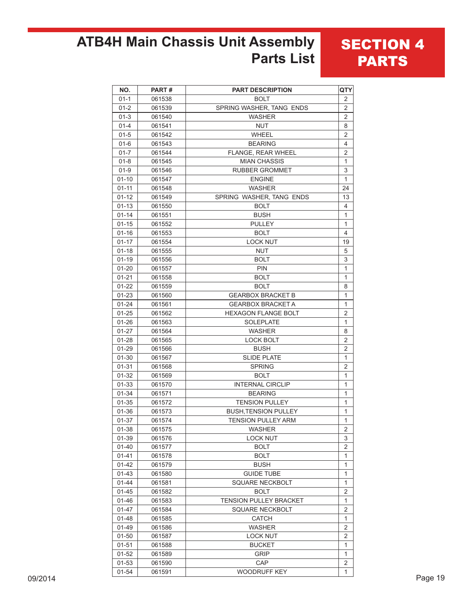### **ATB4H Main Chassis Unit Assembly Parts List**

#### **SECTION 4** PARTS

| NO.       | PART#  | <b>PART DESCRIPTION</b>     | QTY                       |
|-----------|--------|-----------------------------|---------------------------|
| $01 - 1$  | 061538 | <b>BOLT</b>                 | $\sqrt{2}$                |
| $01 - 2$  | 061539 | SPRING WASHER, TANG ENDS    | $\mathbf 2$               |
| $01-3$    | 061540 | <b>WASHER</b>               | $\overline{2}$            |
| $01 - 4$  | 061541 | <b>NUT</b>                  | 8                         |
| $01 - 5$  | 061542 | WHEEL                       | $\overline{2}$            |
| $01 - 6$  | 061543 | <b>BEARING</b>              | 4                         |
| $01 - 7$  | 061544 | FLANGE, REAR WHEEL          | 2                         |
| $01 - 8$  | 061545 | <b>MIAN CHASSIS</b>         | $\mathbf{1}$              |
| $01 - 9$  | 061546 | <b>RUBBER GROMMET</b>       | $\mathbf{3}$              |
| $01 - 10$ | 061547 | <b>ENGINE</b>               | $\mathbf{1}$              |
| $01 - 11$ | 061548 | <b>WASHER</b>               | 24                        |
| $01 - 12$ | 061549 | SPRING WASHER, TANG ENDS    | 13                        |
| $01 - 13$ | 061550 | <b>BOLT</b>                 | 4                         |
| $01 - 14$ | 061551 | <b>BUSH</b>                 | $\mathbf{1}$              |
| $01 - 15$ | 061552 | <b>PULLEY</b>               | $\mathbf{1}$              |
| $01 - 16$ | 061553 | <b>BOLT</b>                 | 4                         |
| $01 - 17$ | 061554 | <b>LOCK NUT</b>             | 19                        |
| $01 - 18$ | 061555 | <b>NUT</b>                  | 5                         |
| $01 - 19$ | 061556 | <b>BOLT</b>                 | $\ensuremath{\mathsf{3}}$ |
| $01 - 20$ | 061557 | <b>PIN</b>                  | $\mathbf{1}$              |
| $01 - 21$ | 061558 | <b>BOLT</b>                 | $\mathbf{1}$              |
| $01 - 22$ | 061559 | <b>BOLT</b>                 | 8                         |
| $01 - 23$ | 061560 | <b>GEARBOX BRACKET B</b>    | $\mathbf{1}$              |
| $01 - 24$ | 061561 | <b>GEARBOX BRACKET A</b>    | $\mathbf{1}$              |
| $01 - 25$ | 061562 | <b>HEXAGON FLANGE BOLT</b>  | 2                         |
| $01 - 26$ | 061563 | <b>SOLEPLATE</b>            | $\mathbf{1}$              |
| $01 - 27$ | 061564 | <b>WASHER</b>               | 8                         |
| $01 - 28$ | 061565 | <b>LOCK BOLT</b>            | $\sqrt{2}$                |
| $01 - 29$ | 061566 | <b>BUSH</b>                 | $\overline{2}$            |
| $01 - 30$ | 061567 | <b>SLIDE PLATE</b>          | $\mathbf{1}$              |
| $01 - 31$ | 061568 | <b>SPRING</b>               | $\overline{2}$            |
| $01 - 32$ | 061569 | <b>BOLT</b>                 | $\mathbf{1}$              |
| $01 - 33$ | 061570 | <b>INTERNAL CIRCLIP</b>     | $\mathbf{1}$              |
| $01 - 34$ | 061571 | <b>BEARING</b>              | $\mathbf{1}$              |
| $01 - 35$ | 061572 | <b>TENSION PULLEY</b>       | $\mathbf{1}$              |
| 01-36     | 061573 | <b>BUSH, TENSION PULLEY</b> | $\mathbf{1}$              |
| 01-37     | 061574 | <b>TENSION PULLEY ARM</b>   | $\mathbf{1}$              |
| $01 - 38$ | 061575 | <b>WASHER</b>               | $\overline{\mathbf{c}}$   |
| 01-39     | 061576 | <b>LOCK NUT</b>             | 3                         |
| $01 - 40$ | 061577 | <b>BOLT</b>                 | $\overline{2}$            |
| $01 - 41$ | 061578 | <b>BOLT</b>                 | $\mathbf{1}$              |
| $01 - 42$ | 061579 | <b>BUSH</b>                 | $\mathbf{1}$              |
| $01 - 43$ | 061580 | <b>GUIDE TUBE</b>           | $\mathbf{1}$              |
| $01 - 44$ | 061581 | SQUARE NECKBOLT             | $\mathbf{1}$              |
| $01 - 45$ | 061582 | <b>BOLT</b>                 | $\overline{c}$            |
| $01 - 46$ | 061583 | TENSION PULLEY BRACKET      | $\mathbf{1}$              |
| $01 - 47$ | 061584 | SQUARE NECKBOLT             | $\overline{2}$            |
| $01 - 48$ | 061585 | <b>CATCH</b>                | $\mathbf{1}$              |
| $01 - 49$ | 061586 | <b>WASHER</b>               | $\sqrt{2}$                |
| $01 - 50$ | 061587 | <b>LOCK NUT</b>             | 2                         |
| $01 - 51$ | 061588 | <b>BUCKET</b>               | $\mathbf{1}$              |
| $01 - 52$ | 061589 | <b>GRIP</b>                 | $\mathbf{1}$              |
| $01 - 53$ | 061590 | CAP                         | $\overline{2}$            |
| $01 - 54$ | 061591 | WOODRUFF KEY                | $\mathbf{1}$              |
|           |        |                             |                           |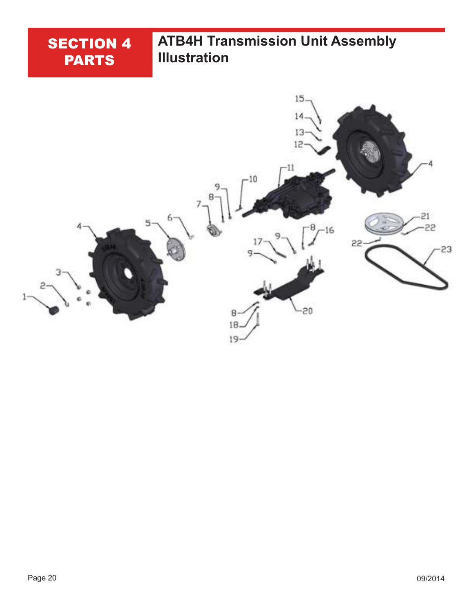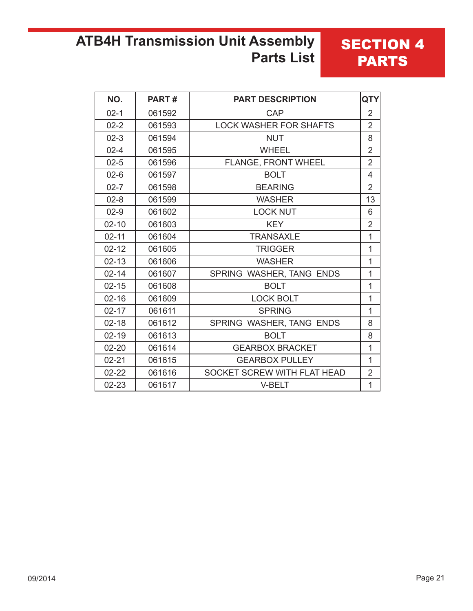### **ATB4H Transmission Unit Assembly Parts List**

| NO.       | PART#  | <b>PART DESCRIPTION</b>       | <b>QTY</b>     |
|-----------|--------|-------------------------------|----------------|
| $02 - 1$  | 061592 | CAP                           | $\overline{2}$ |
| $02 - 2$  | 061593 | <b>LOCK WASHER FOR SHAFTS</b> | $\overline{2}$ |
| $02-3$    | 061594 | <b>NUT</b>                    | 8              |
| $02 - 4$  | 061595 | <b>WHEEL</b>                  | $\overline{2}$ |
| $02 - 5$  | 061596 | FLANGE, FRONT WHEEL           | $\overline{2}$ |
| $02-6$    | 061597 | <b>BOLT</b>                   | $\overline{4}$ |
| $02 - 7$  | 061598 | <b>BEARING</b>                | $\overline{2}$ |
| $02 - 8$  | 061599 | <b>WASHER</b>                 | 13             |
| $02-9$    | 061602 | <b>LOCK NUT</b>               | 6              |
| $02 - 10$ | 061603 | <b>KEY</b>                    | $\overline{2}$ |
| $02 - 11$ | 061604 | <b>TRANSAXLE</b>              | 1              |
| $02 - 12$ | 061605 | <b>TRIGGER</b>                | 1              |
| $02 - 13$ | 061606 | <b>WASHER</b>                 | 1              |
| $02 - 14$ | 061607 | SPRING WASHER, TANG ENDS      | 1              |
| $02 - 15$ | 061608 | <b>BOLT</b>                   | 1              |
| $02 - 16$ | 061609 | <b>LOCK BOLT</b>              | 1              |
| $02 - 17$ | 061611 | <b>SPRING</b>                 | 1              |
| $02 - 18$ | 061612 | SPRING WASHER, TANG ENDS      | 8              |
| $02 - 19$ | 061613 | <b>BOLT</b>                   | 8              |
| $02 - 20$ | 061614 | <b>GEARBOX BRACKET</b>        | 1              |
| $02 - 21$ | 061615 | <b>GEARBOX PULLEY</b>         | 1              |
| $02 - 22$ | 061616 | SOCKET SCREW WITH FLAT HEAD   | $\overline{2}$ |
| 02-23     | 061617 | V-BELT                        | 1              |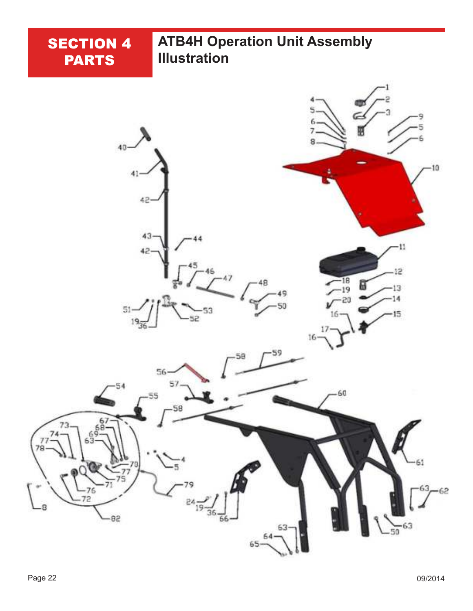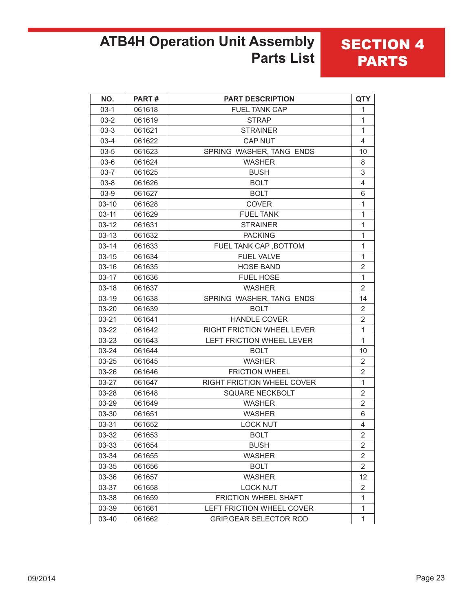### **ATB4H Operation Unit Assembly Parts List**

| NO.       | PART#  | <b>PART DESCRIPTION</b>           | <b>QTY</b>     |
|-----------|--------|-----------------------------------|----------------|
| $03-1$    | 061618 | <b>FUEL TANK CAP</b>              | 1              |
| $03 - 2$  | 061619 | <b>STRAP</b>                      | $\mathbf{1}$   |
| $03-3$    | 061621 | <b>STRAINER</b>                   | $\mathbf{1}$   |
| $03-4$    | 061622 | <b>CAP NUT</b>                    | 4              |
| $03 - 5$  | 061623 | SPRING WASHER, TANG ENDS          | 10             |
| $03-6$    | 061624 | <b>WASHER</b>                     | 8              |
| $03 - 7$  | 061625 | <b>BUSH</b>                       | 3              |
| $03 - 8$  | 061626 | <b>BOLT</b>                       | 4              |
| $03-9$    | 061627 | <b>BOLT</b>                       | 6              |
| $03-10$   | 061628 | <b>COVER</b>                      | 1              |
| $03 - 11$ | 061629 | <b>FUEL TANK</b>                  | $\mathbf{1}$   |
| $03 - 12$ | 061631 | <b>STRAINER</b>                   | 1              |
| $03-13$   | 061632 | <b>PACKING</b>                    | 1              |
| $03 - 14$ | 061633 | FUEL TANK CAP, BOTTOM             | 1              |
| $03 - 15$ | 061634 | <b>FUEL VALVE</b>                 | $\mathbf{1}$   |
| $03 - 16$ | 061635 | <b>HOSE BAND</b>                  | $\overline{2}$ |
| $03 - 17$ | 061636 | <b>FUEL HOSE</b>                  | $\mathbf{1}$   |
| $03-18$   | 061637 | <b>WASHER</b>                     | $\overline{2}$ |
| 03-19     | 061638 | SPRING WASHER, TANG ENDS          | 14             |
| 03-20     | 061639 | <b>BOLT</b>                       | 2              |
| 03-21     | 061641 | <b>HANDLE COVER</b>               | 2              |
| 03-22     | 061642 | <b>RIGHT FRICTION WHEEL LEVER</b> | 1              |
| 03-23     | 061643 | LEFT FRICTION WHEEL LEVER         | 1              |
| 03-24     | 061644 | <b>BOLT</b>                       | 10             |
| 03-25     | 061645 | <b>WASHER</b>                     | 2              |
| 03-26     | 061646 | <b>FRICTION WHEEL</b>             | 2              |
| 03-27     | 061647 | <b>RIGHT FRICTION WHEEL COVER</b> | 1              |
| 03-28     | 061648 | SQUARE NECKBOLT                   | 2              |
| 03-29     | 061649 | <b>WASHER</b>                     | 2              |
| 03-30     | 061651 | <b>WASHER</b>                     | 6              |
| 03-31     | 061652 | <b>LOCK NUT</b>                   | 4              |
| 03-32     | 061653 | <b>BOLT</b>                       | $\overline{2}$ |
| 03-33     | 061654 | <b>BUSH</b>                       | 2              |
| 03-34     | 061655 | <b>WASHER</b>                     | 2              |
| 03-35     | 061656 | <b>BOLT</b>                       | 2              |
| 03-36     | 061657 | <b>WASHER</b>                     | 12             |
| 03-37     | 061658 | <b>LOCK NUT</b>                   | 2              |
| 03-38     | 061659 | FRICTION WHEEL SHAFT              | 1              |
| 03-39     | 061661 | LEFT FRICTION WHEEL COVER         | 1              |
| 03-40     | 061662 | <b>GRIP, GEAR SELECTOR ROD</b>    | 1              |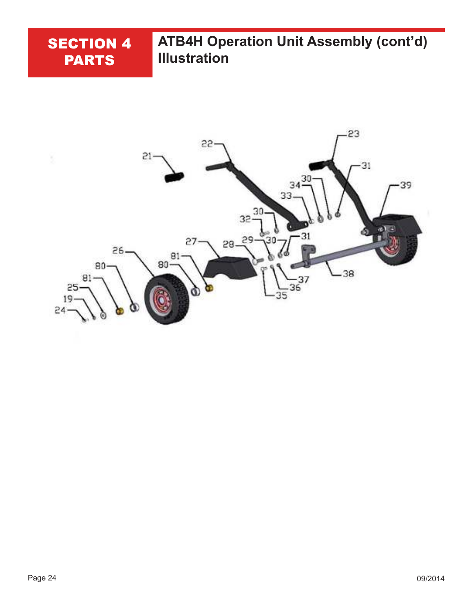

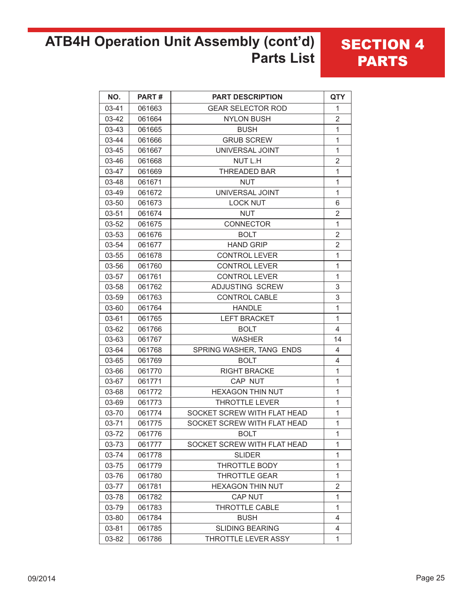### **ATB4H Operation Unit Assembly (cont'd) Parts List**

| NO.       | PART#  | <b>PART DESCRIPTION</b>     | <b>QTY</b>     |
|-----------|--------|-----------------------------|----------------|
| 03-41     | 061663 | <b>GEAR SELECTOR ROD</b>    | 1              |
| 03-42     | 061664 | <b>NYLON BUSH</b>           | $\overline{2}$ |
| $03 - 43$ | 061665 | <b>BUSH</b>                 | 1              |
| 03-44     | 061666 | <b>GRUB SCREW</b>           | 1              |
| 03-45     | 061667 | UNIVERSAL JOINT             | 1              |
| 03-46     | 061668 | NUT L.H                     | $\overline{2}$ |
| 03-47     | 061669 | <b>THREADED BAR</b>         | 1              |
| 03-48     | 061671 | <b>NUT</b>                  | 1              |
| 03-49     | 061672 | UNIVERSAL JOINT             | $\mathbf{1}$   |
| 03-50     | 061673 | <b>LOCK NUT</b>             | 6              |
| 03-51     | 061674 | <b>NUT</b>                  | $\overline{2}$ |
| 03-52     | 061675 | <b>CONNECTOR</b>            | 1              |
| 03-53     | 061676 | <b>BOLT</b>                 | $\overline{2}$ |
| 03-54     | 061677 | <b>HAND GRIP</b>            | $\overline{2}$ |
| 03-55     | 061678 | <b>CONTROL LEVER</b>        | 1              |
| 03-56     | 061760 | <b>CONTROL LEVER</b>        | 1              |
| 03-57     | 061761 | <b>CONTROL LEVER</b>        | $\mathbf{1}$   |
| 03-58     | 061762 | <b>ADJUSTING SCREW</b>      | 3              |
| 03-59     | 061763 | <b>CONTROL CABLE</b>        | 3              |
| 03-60     | 061764 | <b>HANDLE</b>               | 1              |
| 03-61     | 061765 | <b>LEFT BRACKET</b>         | 1              |
| 03-62     | 061766 | <b>BOLT</b>                 | 4              |
| 03-63     | 061767 | <b>WASHER</b>               | 14             |
| 03-64     | 061768 | SPRING WASHER, TANG ENDS    | 4              |
| 03-65     | 061769 | <b>BOLT</b>                 | $\overline{4}$ |
| 03-66     | 061770 | <b>RIGHT BRACKE</b>         | 1              |
| 03-67     | 061771 | CAP NUT                     | 1              |
| 03-68     | 061772 | <b>HEXAGON THIN NUT</b>     | $\mathbf{1}$   |
| 03-69     | 061773 | <b>THROTTLE LEVER</b>       | 1              |
| 03-70     | 061774 | SOCKET SCREW WITH FLAT HEAD | 1              |
| 03-71     | 061775 | SOCKET SCREW WITH FLAT HEAD | 1              |
| 03-72     | 061776 | <b>BOLT</b>                 | $\mathbf 1$    |
| 03-73     | 061777 | SOCKET SCREW WITH FLAT HEAD | 1              |
| 03-74     | 061778 | <b>SLIDER</b>               | 1              |
| 03-75     | 061779 | THROTTLE BODY               | 1              |
| 03-76     | 061780 | <b>THROTTLE GEAR</b>        | 1              |
| 03-77     | 061781 | <b>HEXAGON THIN NUT</b>     | $\overline{2}$ |
| 03-78     | 061782 | CAP NUT                     | $\mathbf{1}$   |
| 03-79     | 061783 | <b>THROTTLE CABLE</b>       | $\mathbf{1}$   |
| 03-80     | 061784 | <b>BUSH</b>                 | $\overline{4}$ |
| 03-81     | 061785 | <b>SLIDING BEARING</b>      | 4              |
| 03-82     | 061786 | THROTTLE LEVER ASSY         | 1              |

**SECTION 4** 

PARTS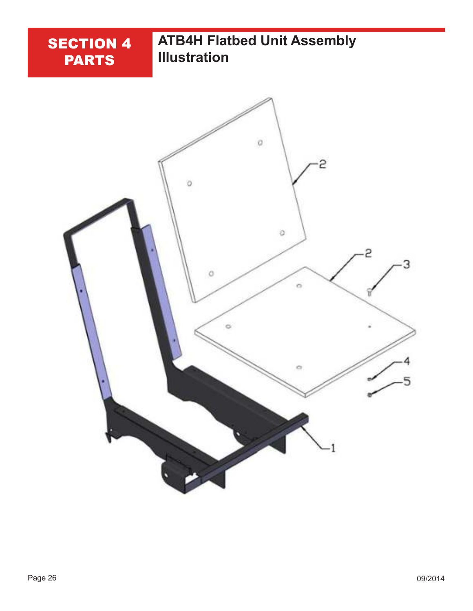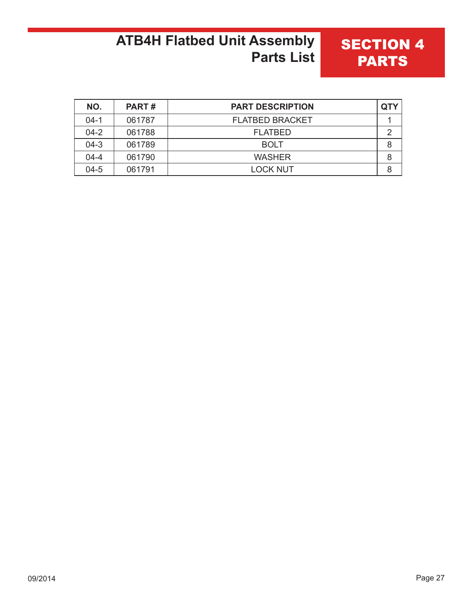### **ATB4H Flatbed Unit Assembly Parts List**

| NO.      | <b>PART#</b> | <b>PART DESCRIPTION</b> |   |
|----------|--------------|-------------------------|---|
| $04-1$   | 061787       | <b>FLATBED BRACKET</b>  |   |
| $04 - 2$ | 061788       | <b>FLATBED</b>          |   |
| $04-3$   | 061789       | <b>BOLT</b>             | 8 |
| $04 - 4$ | 061790       | <b>WASHER</b>           | 8 |
| $04 - 5$ | 061791       | <b>LOCK NUT</b>         |   |

**SECTION 4** 

PARTS